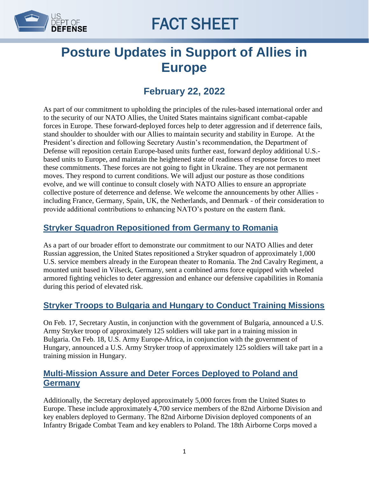

# FACT SHEET

## **Posture Updates in Support of Allies in Europe**

### **February 22, 2022**

As part of our commitment to upholding the principles of the rules-based international order and to the security of our NATO Allies, the United States maintains significant combat-capable forces in Europe. These forward-deployed forces help to deter aggression and if deterrence fails, stand shoulder to shoulder with our Allies to maintain security and stability in Europe. At the President's direction and following Secretary Austin's recommendation, the Department of Defense will reposition certain Europe-based units further east, forward deploy additional U.S. based units to Europe, and maintain the heightened state of readiness of response forces to meet these commitments. These forces are not going to fight in Ukraine. They are not permanent moves. They respond to current conditions. We will adjust our posture as those conditions evolve, and we will continue to consult closely with NATO Allies to ensure an appropriate collective posture of deterrence and defense. We welcome the announcements by other Allies including France, Germany, Spain, UK, the Netherlands, and Denmark - of their consideration to provide additional contributions to enhancing NATO's posture on the eastern flank.

#### **Stryker Squadron Repositioned from Germany to Romania**

As a part of our broader effort to demonstrate our commitment to our NATO Allies and deter Russian aggression, the United States repositioned a Stryker squadron of approximately 1,000 U.S. service members already in the European theater to Romania. The 2nd Cavalry Regiment, a mounted unit based in Vilseck, Germany, sent a combined arms force equipped with wheeled armored fighting vehicles to deter aggression and enhance our defensive capabilities in Romania during this period of elevated risk.

#### **Stryker Troops to Bulgaria and Hungary to Conduct Training Missions**

On Feb. 17, Secretary Austin, in conjunction with the government of Bulgaria, announced a U.S. Army Stryker troop of approximately 125 soldiers will take part in a training mission in Bulgaria. On Feb. 18, U.S. Army Europe-Africa, in conjunction with the government of Hungary, announced a U.S. Army Stryker troop of approximately 125 soldiers will take part in a training mission in Hungary.

#### **Multi-Mission Assure and Deter Forces Deployed to Poland and Germany**

Additionally, the Secretary deployed approximately 5,000 forces from the United States to Europe. These include approximately 4,700 service members of the 82nd Airborne Division and key enablers deployed to Germany. The 82nd Airborne Division deployed components of an Infantry Brigade Combat Team and key enablers to Poland. The 18th Airborne Corps moved a